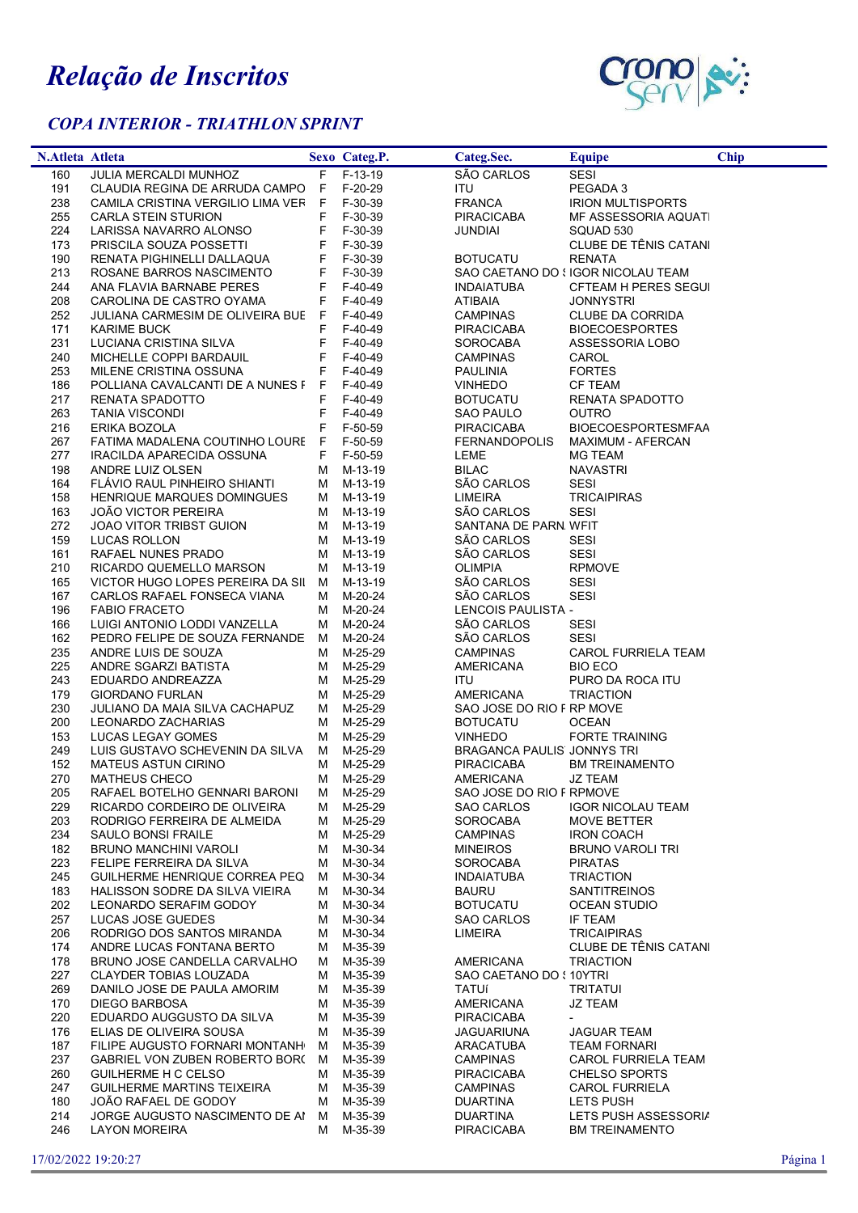## Relação de Inscritos

## COPA INTERIOR - TRIATHLON SPRINT



| N.Atleta Atleta |                                                                       |    | Sexo Categ.P.          | Categ.Sec.                            | <b>Equipe</b>                                    | <b>Chip</b> |
|-----------------|-----------------------------------------------------------------------|----|------------------------|---------------------------------------|--------------------------------------------------|-------------|
| 160             | JULIA MERCALDI MUNHOZ                                                 |    | F F-13-19              | SÃO CARLOS                            | <b>SESI</b>                                      |             |
| 191             | CLAUDIA REGINA DE ARRUDA CAMPO F F-20-29                              |    |                        | <b>ITU</b>                            | PEGADA 3                                         |             |
| 238             | CAMILA CRISTINA VERGILIO LIMA VER F                                   |    | F-30-39                | <b>FRANCA</b>                         | <b>IRION MULTISPORTS</b>                         |             |
| 255             | CARLA STEIN STURION                                                   | F. | F-30-39                | <b>PIRACICABA</b>                     | MF ASSESSORIA AQUATI                             |             |
| 224             | LARISSA NAVARRO ALONSO                                                | F. | F-30-39                | <b>JUNDIAI</b>                        | SQUAD 530                                        |             |
| 173             | PRISCILA SOUZA POSSETTI                                               | F  | F-30-39                |                                       | CLUBE DE TÊNIS CATANI                            |             |
| 190             | RENATA PIGHINELLI DALLAQUA                                            | F  | F-30-39                | <b>BOTUCATU</b>                       | <b>RENATA</b>                                    |             |
| 213             | ROSANE BARROS NASCIMENTO                                              | F  | F-30-39                |                                       | SAO CAETANO DO SIGOR NICOLAU TEAM                |             |
| 244             | ANA FLAVIA BARNABE PERES                                              | F  | F-40-49                | <b>INDAIATUBA</b>                     | CFTEAM H PERES SEGUI                             |             |
| 208             | CAROLINA DE CASTRO OYAMA                                              | F. | F-40-49                | <b>ATIBAIA</b>                        | <b>JONNYSTRI</b>                                 |             |
| 252<br>171      | JULIANA CARMESIM DE OLIVEIRA BUE F<br><b>KARIME BUCK</b>              | F  | F-40-49<br>F-40-49     | <b>CAMPINAS</b><br><b>PIRACICABA</b>  | <b>CLUBE DA CORRIDA</b><br><b>BIOECOESPORTES</b> |             |
| 231             | LUCIANA CRISTINA SILVA                                                | F. | F-40-49                | SOROCABA                              | ASSESSORIA LOBO                                  |             |
| 240             | MICHELLE COPPI BARDAUIL                                               | F  | F-40-49                | CAMPINAS                              | CAROL                                            |             |
| 253             | MILENE CRISTINA OSSUNA                                                | F. | F-40-49                | <b>PAULINIA</b>                       | <b>FORTES</b>                                    |             |
| 186             | POLLIANA CAVALCANTI DE A NUNES F                                      |    | F F-40-49              | <b>VINHEDO</b>                        | <b>CF TEAM</b>                                   |             |
| 217             | RENATA SPADOTTO                                                       | F. | F-40-49                | <b>BOTUCATU</b>                       | RENATA SPADOTTO                                  |             |
| 263             | <b>TANIA VISCONDI</b>                                                 | F. | F-40-49                | SAO PAULO                             | OUTRO                                            |             |
| 216             | ERIKA BOZOLA                                                          | F  | F-50-59                | PIRACICABA                            | <b>BIOECOESPORTESMFAA</b>                        |             |
| 267             | FATIMA MADALENA COUTINHO LOURE F F-50-59                              |    |                        | FERNANDOPOLIS                         | <b>MAXIMUM - AFERCAN</b>                         |             |
| 277             | IRACILDA APARECIDA OSSUNA                                             |    | F F-50-59              | LEME                                  | MG TEAM                                          |             |
| 198             | ANDRE LUIZ OLSEN                                                      |    | M M-13-19              | <b>BILAC</b>                          | NAVASTRI                                         |             |
| 164             | FLAVIO RAUL PINHEIRO SHIANTI                                          |    | M M-13-19              | SÃO CARLOS                            | <b>SESI</b>                                      |             |
| 158             | HENRIQUE MARQUES DOMINGUES                                            |    | M M-13-19              | <b>LIMEIRA</b>                        | <b>TRICAIPIRAS</b>                               |             |
| 163             | <b>JOÃO VICTOR PEREIRA</b>                                            |    | M M-13-19              | SÃO CARLOS                            | SESI                                             |             |
| 272             | JOAO VITOR TRIBST GUION                                               |    | M M-13-19              | SANTANA DE PARN. WFIT                 |                                                  |             |
| 159             | LUCAS ROLLON                                                          |    | M M-13-19              | SÃO CARLOS                            | SESI                                             |             |
| 161             | RAFAEL NUNES PRADO                                                    |    | M M-13-19              | SÃO CARLOS<br><b>OLIMPIA</b>          | <b>SESI</b>                                      |             |
| 210<br>165      | RICARDO QUEMELLO MARSON<br>VICTOR HUGO LOPES PEREIRA DA SIL M M-13-19 |    | M M-13-19              | SÃO CARLOS                            | <b>RPMOVE</b><br>SESI                            |             |
| 167             | CARLOS RAFAEL FONSECA VIANA                                           |    | M M-20-24              | SÃO CARLOS                            | <b>SESI</b>                                      |             |
| 196             | <b>FABIO FRACETO</b>                                                  |    | M M-20-24              | LENCOIS PAULISTA -                    |                                                  |             |
| 166             | LUIGI ANTONIO LODDI VANZELLA                                          | M  | M-20-24                | SÃO CARLOS                            | <b>SESI</b>                                      |             |
| 162             | PEDRO FELIPE DE SOUZA FERNANDE                                        |    | M M-20-24              | SÃO CARLOS                            | <b>SESI</b>                                      |             |
| 235             | ANDRE LUIS DE SOUZA                                                   |    | M M-25-29              | <b>CAMPINAS</b>                       | <b>CAROL FURRIELA TEAM</b>                       |             |
| 225             | ANDRE SGARZI BATISTA                                                  |    | M M-25-29              | AMERICANA                             | <b>BIO ECO</b>                                   |             |
| 243             | EDUARDO ANDREAZZA                                                     |    | M M-25-29              | <b>ITU</b>                            | PURO DA ROCA ITU                                 |             |
| 179             | <b>GIORDANO FURLAN</b>                                                |    | M M-25-29              | AMERICANA                             | TRIACTION                                        |             |
| 230             | JULIANO DA MAIA SILVA CACHAPUZ                                        |    | M M-25-29              | SAO JOSE DO RIO F RP MOVE             |                                                  |             |
| 200             | LEONARDO ZACHARIAS                                                    |    | M M-25-29              | <b>BOTUCATU</b>                       | <b>OCEAN</b>                                     |             |
| 153             | LUCAS LEGAY GOMES                                                     |    | M M-25-29              | <b>VINHEDO</b>                        | FORTE TRAINING                                   |             |
| 249             | LUIS GUSTAVO SCHEVENIN DA SILVA M M-25-29                             |    |                        | <b>BRAGANCA PAULIS JONNYS TRI</b>     |                                                  |             |
| 152             | MATEUS ASTUN CIRINO                                                   |    | M M-25-29              | <b>PIRACICABA</b>                     | <b>BM TREINAMENTO</b>                            |             |
| 270<br>205      | <b>MATHEUS CHECO</b><br>RAFAEL BOTELHO GENNARI BARONI                 |    | M M-25-29              | AMERICANA<br>SAO JOSE DO RIO F RPMOVE | JZ TEAM                                          |             |
| 229             | RICARDO CORDEIRO DE OLIVEIRA                                          |    | M M-25-29<br>M M-25-29 | <b>SAO CARLOS</b>                     | <b>IGOR NICOLAU TEAM</b>                         |             |
| 203             | RODRIGO FERREIRA DE ALMEIDA                                           |    | M M-25-29              | SOROCABA                              | MOVE BETTER                                      |             |
| 234             | SAULO BONSI FRAILE                                                    |    | M M-25-29              | CAMPINAS                              | <b>IRON COACH</b>                                |             |
| 182             | BRUNO MANCHINI VAROLI                                                 | м  | M-30-34                | <b>MINEIROS</b>                       | <b>BRUNO VAROLI TRI</b>                          |             |
| 223             | FELIPE FERREIRA DA SILVA                                              |    | M M-30-34              | <b>SOROCABA</b>                       | <b>PIRATAS</b>                                   |             |
| 245             | GUILHERME HENRIQUE CORREA PEQ                                         | M  | M-30-34                | <b>INDAIATUBA</b>                     | <b>TRIACTION</b>                                 |             |
| 183             | HALISSON SODRE DA SILVA VIEIRA                                        | M  | M-30-34                | <b>BAURU</b>                          | <b>SANTITREINOS</b>                              |             |
| 202             | LEONARDO SERAFIM GODOY                                                |    | M M-30-34              | <b>BOTUCATU</b>                       | <b>OCEAN STUDIO</b>                              |             |
| 257             | LUCAS JOSE GUEDES                                                     | м  | M-30-34                | SAO CARLOS                            | IF TEAM                                          |             |
| 206             | RODRIGO DOS SANTOS MIRANDA                                            |    | M M-30-34              | LIMEIRA                               | <b>TRICAIPIRAS</b>                               |             |
| 174             | ANDRE LUCAS FONTANA BERTO                                             |    | M M-35-39              |                                       | CLUBE DE TÊNIS CATANI                            |             |
| 178             | BRUNO JOSE CANDELLA CARVALHO                                          | M  | M-35-39                | <b>AMERICANA</b>                      | <b>TRIACTION</b>                                 |             |
| 227             | CLAYDER TOBIAS LOUZADA                                                |    | M M-35-39              | SAO CAETANO DO { 10YTRI               |                                                  |             |
| 269             | DANILO JOSE DE PAULA AMORIM                                           | M  | M-35-39                | TATUí                                 | <b>TRITATUI</b>                                  |             |
| 170<br>220      | DIEGO BARBOSA<br>EDUARDO AUGGUSTO DA SILVA                            |    | M M-35-39<br>M M-35-39 | <b>AMERICANA</b><br><b>PIRACICABA</b> | JZ TEAM                                          |             |
| 176             | ELIAS DE OLIVEIRA SOUSA                                               | M  | M-35-39                | <b>JAGUARIUNA</b>                     | JAGUAR TEAM                                      |             |
| 187             | FILIPE AUGUSTO FORNARI MONTANH                                        |    | M M-35-39              | ARACATUBA                             | <b>TEAM FORNARI</b>                              |             |
| 237             | GABRIEL VON ZUBEN ROBERTO BORC                                        | M  | M-35-39                | <b>CAMPINAS</b>                       | <b>CAROL FURRIELA TEAM</b>                       |             |
| 260             | GUILHERME H C CELSO                                                   | м  | M-35-39                | <b>PIRACICABA</b>                     | <b>CHELSO SPORTS</b>                             |             |
| 247             | GUILHERME MARTINS TEIXEIRA                                            |    | M M-35-39              | CAMPINAS                              | <b>CAROL FURRIELA</b>                            |             |
| 180             | JOÃO RAFAEL DE GODOY                                                  | M  | M-35-39                | <b>DUARTINA</b>                       | LETS PUSH                                        |             |
| 214             | JORGE AUGUSTO NASCIMENTO DE AI M M-35-39                              |    |                        | <b>DUARTINA</b>                       | LETS PUSH ASSESSORIA                             |             |
| 246             | <b>LAYON MOREIRA</b>                                                  |    | M M-35-39              | <b>PIRACICABA</b>                     | <b>BM TREINAMENTO</b>                            |             |